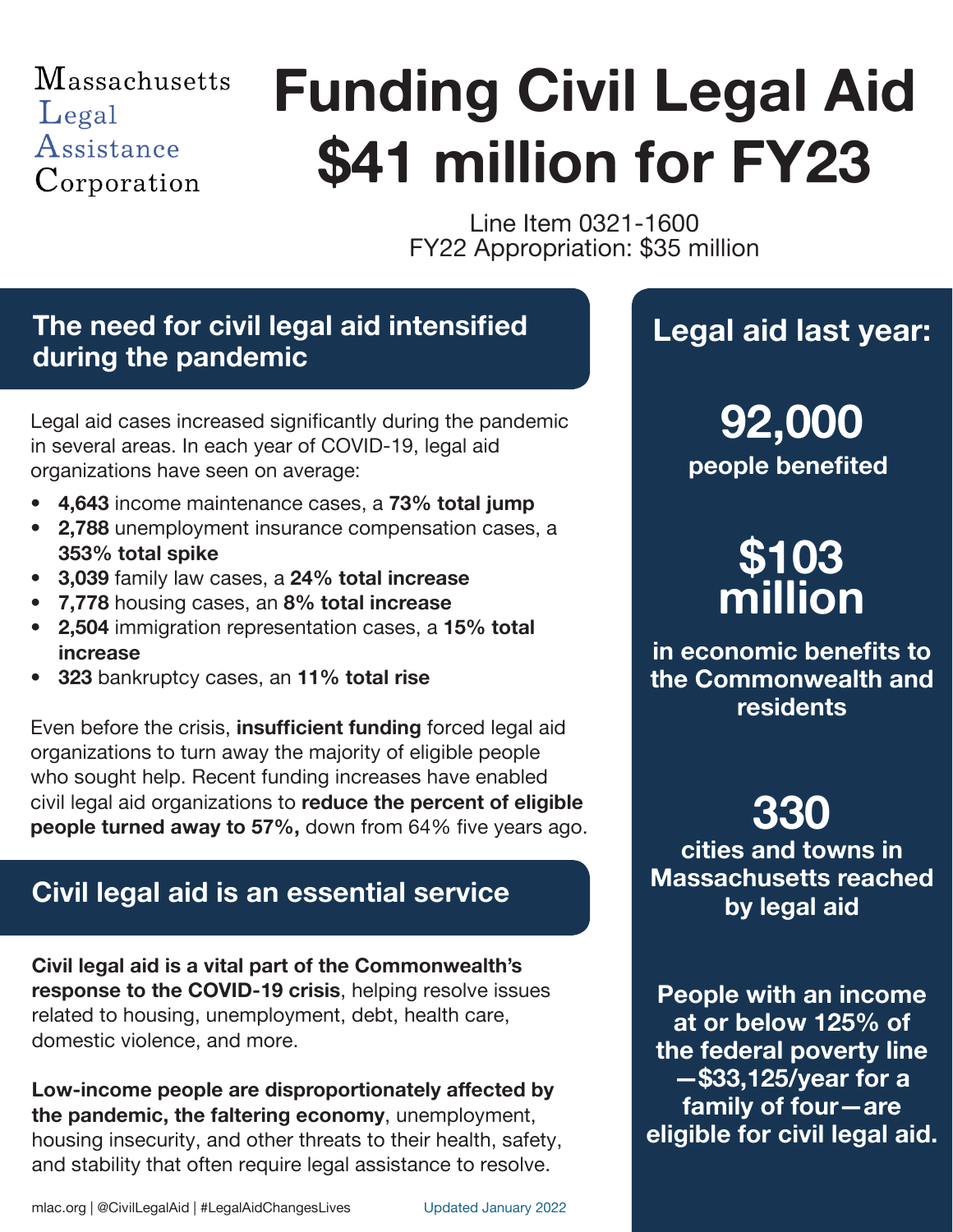### **Massachusetts** Legal Assistance Corporation

# **\$41 million for FY23 Funding Civil Legal Aid**

Line Item 0321-1600 FY22 Appropriation: \$35 million

#### **The need for civil legal aid intensified during the pandemic**

Legal aid cases increased significantly during the pandemic in several areas. In each year of COVID-19, legal aid organizations have seen on average:

- **• 4,643** income maintenance cases, a **73% total jump**
- **• 2,788** unemployment insurance compensation cases, a **353% total spike**
- **• 3,039** family law cases, a **24% total increase**
- **• 7,778** housing cases, an **8% total increase**
- **• 2,504** immigration representation cases, a **15% total increase**
- **• 323** bankruptcy cases, an **11% total rise**

Even before the crisis, **insufficient funding** forced legal aid organizations to turn away the majority of eligible people who sought help. Recent funding increases have enabled civil legal aid organizations to **reduce the percent of eligible people turned away to 57%,** down from 64% five years ago.

#### **Civil legal aid is an essential service**

**Civil legal aid is a vital part of the Commonwealth's response to the COVID-19 crisis**, helping resolve issues related to housing, unemployment, debt, health care, domestic violence, and more.

**Low-income people are disproportionately affected by the pandemic, the faltering economy**, unemployment, housing insecurity, and other threats to their health, safety, and stability that often require legal assistance to resolve.

## **Legal aid last year:**

**people benefited 92,000**

# **\$103 million**

**in economic benefits to the Commonwealth and residents**

**330**

**cities and towns in Massachusetts reached by legal aid**

**People with an income at or below 125% of the federal poverty line —\$33,125/year for a family of four—are eligible for civil legal aid.**